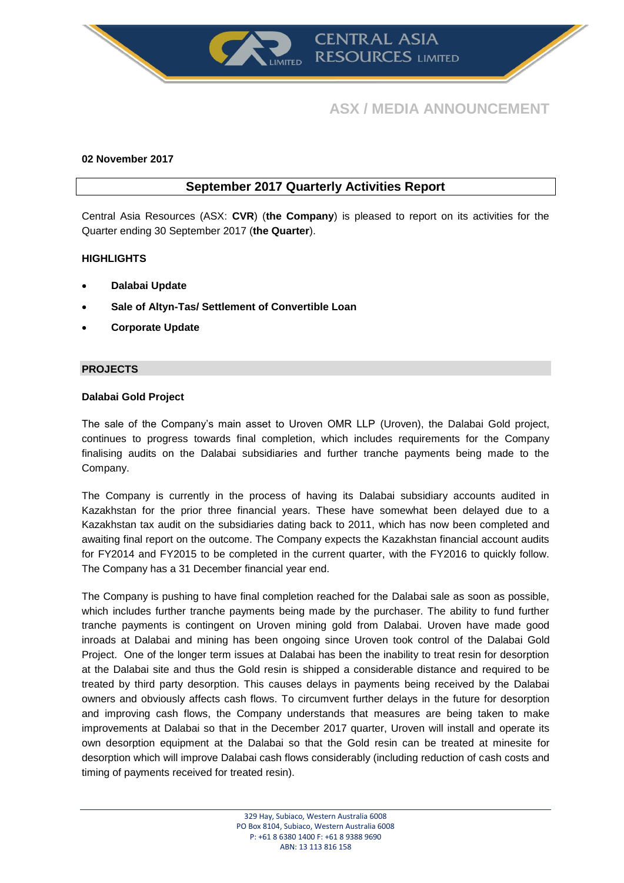

# **ASX / MEDIA ANNOUNCEMENT**

# **02 November 2017**

# **September 2017 Quarterly Activities Report**

Central Asia Resources (ASX: **CVR**) (**the Company**) is pleased to report on its activities for the Quarter ending 30 September 2017 (**the Quarter**).

# **HIGHLIGHTS**

- **Dalabai Update**
- **Sale of Altyn-Tas/ Settlement of Convertible Loan**
- **Corporate Update**

# **PROJECTS**

#### **Dalabai Gold Project**

The sale of the Company's main asset to Uroven OMR LLP (Uroven), the Dalabai Gold project, continues to progress towards final completion, which includes requirements for the Company finalising audits on the Dalabai subsidiaries and further tranche payments being made to the Company.

The Company is currently in the process of having its Dalabai subsidiary accounts audited in Kazakhstan for the prior three financial years. These have somewhat been delayed due to a Kazakhstan tax audit on the subsidiaries dating back to 2011, which has now been completed and awaiting final report on the outcome. The Company expects the Kazakhstan financial account audits for FY2014 and FY2015 to be completed in the current quarter, with the FY2016 to quickly follow. The Company has a 31 December financial year end.

The Company is pushing to have final completion reached for the Dalabai sale as soon as possible, which includes further tranche payments being made by the purchaser. The ability to fund further tranche payments is contingent on Uroven mining gold from Dalabai. Uroven have made good inroads at Dalabai and mining has been ongoing since Uroven took control of the Dalabai Gold Project. One of the longer term issues at Dalabai has been the inability to treat resin for desorption at the Dalabai site and thus the Gold resin is shipped a considerable distance and required to be treated by third party desorption. This causes delays in payments being received by the Dalabai owners and obviously affects cash flows. To circumvent further delays in the future for desorption and improving cash flows, the Company understands that measures are being taken to make improvements at Dalabai so that in the December 2017 quarter, Uroven will install and operate its own desorption equipment at the Dalabai so that the Gold resin can be treated at minesite for desorption which will improve Dalabai cash flows considerably (including reduction of cash costs and timing of payments received for treated resin).